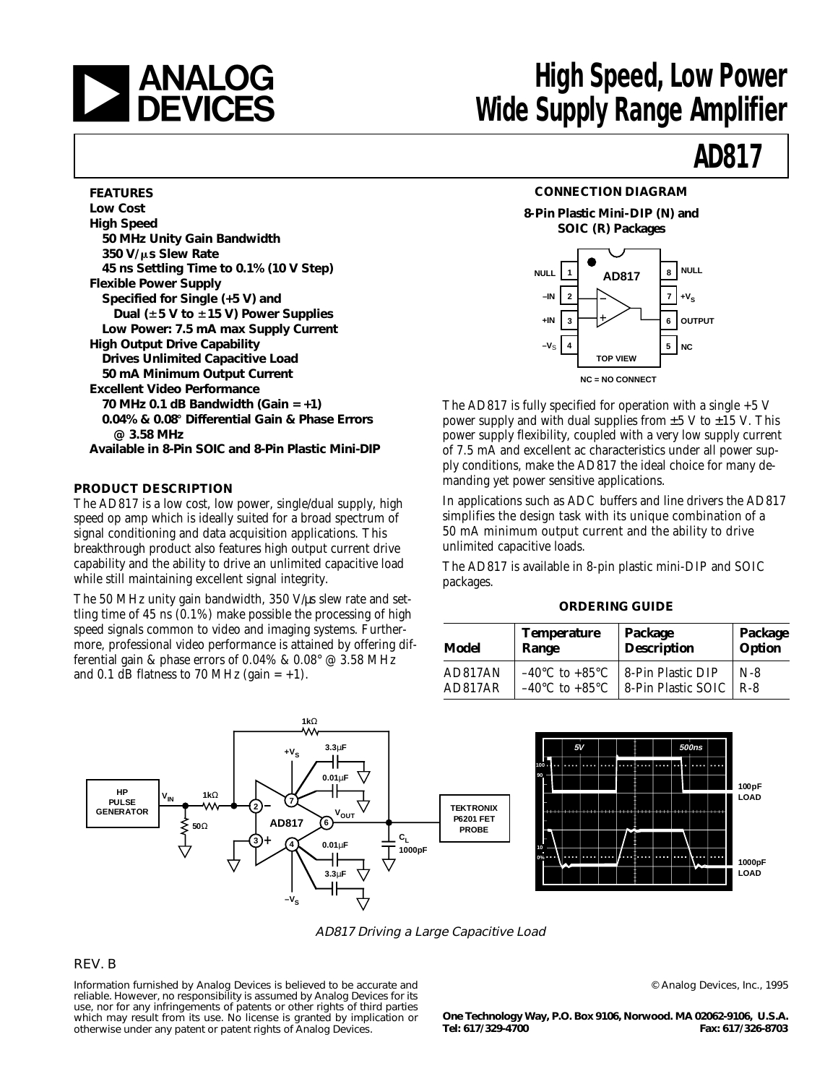

# **ANALOG** High Speed, Low Power<br> **DEVICES** Wide Supply Range Amplifier

# **AD817**

#### **FEATURES**

| <b>Low Cost</b>                                    |
|----------------------------------------------------|
| <b>High Speed</b>                                  |
| 50 MHz Unity Gain Bandwidth                        |
| 350 V/µs Slew Rate                                 |
| 45 ns Settling Time to 0.1% (10 V Step)            |
| <b>Flexible Power Supply</b>                       |
| Specified for Single (+5 V) and                    |
| Dual (±5 V to ±15 V) Power Supplies                |
| Low Power: 7.5 mA max Supply Current               |
| <b>High Output Drive Capability</b>                |
| <b>Drives Unlimited Capacitive Load</b>            |
| 50 mA Minimum Output Current                       |
| <b>Excellent Video Performance</b>                 |
| 70 MHz 0.1 dB Bandwidth (Gain = $+1$ )             |
| 0.04% & 0.08° Differential Gain & Phase Errors     |
| $@3.58$ MHz                                        |
| Available in 8-Pin SOIC and 8-Pin Plastic Mini-DIP |

#### **PRODUCT DESCRIPTION**

The AD817 is a low cost, low power, single/dual supply, high speed op amp which is ideally suited for a broad spectrum of signal conditioning and data acquisition applications. This breakthrough product also features high output current drive capability and the ability to drive an unlimited capacitive load while still maintaining excellent signal integrity.

The 50 MHz unity gain bandwidth, 350 V/us slew rate and settling time of 45 ns (0.1%) make possible the processing of high speed signals common to video and imaging systems. Furthermore, professional video performance is attained by offering differential gain & phase errors of 0.04% & 0.08° @ 3.58 MHz and 0.1 dB flatness to 70 MHz (gain  $= +1$ ).



**8-Pin Plastic Mini-DIP (N) and SOIC (R) Packages**



The AD817 is fully specified for operation with a single  $+5$  V power supply and with dual supplies from  $\pm 5$  V to  $\pm 15$  V. This power supply flexibility, coupled with a very low supply current of 7.5 mA and excellent ac characteristics under all power supply conditions, make the AD817 the ideal choice for many demanding yet power sensitive applications.

In applications such as ADC buffers and line drivers the AD817 simplifies the design task with its unique combination of a 50 mA minimum output current and the ability to drive unlimited capacitive loads.

The AD817 is available in 8-pin plastic mini-DIP and SOIC packages.

#### **ORDERING GUIDE**

| Model   | <b>Temperature</b>                 | Package            | Package |  |
|---------|------------------------------------|--------------------|---------|--|
|         | Range                              | <b>Description</b> | Option  |  |
| AD817AN | $-40^{\circ}$ C to $+85^{\circ}$ C | 8-Pin Plastic DIP  | $N-8$   |  |
| AD817AR | $-40^{\circ}$ C to $+85^{\circ}$ C | 8-Pin Plastic SOIC | R-8     |  |





AD817 Driving a Large Capacitive Load

#### REV. B

Information furnished by Analog Devices is believed to be accurate and reliable. However, no responsibility is assumed by Analog Devices for its use, nor for any infringements of patents or other rights of third parties which may result from its use. No license is granted by implication or otherwise under any patent or patent rights of Analog Devices.

© Analog Devices, Inc., 1995

**One Technology Way, P.O. Box 9106, Norwood. MA 02062-9106, U.S.A. Tel: 617/329-4700 Fax: 617/326-8703**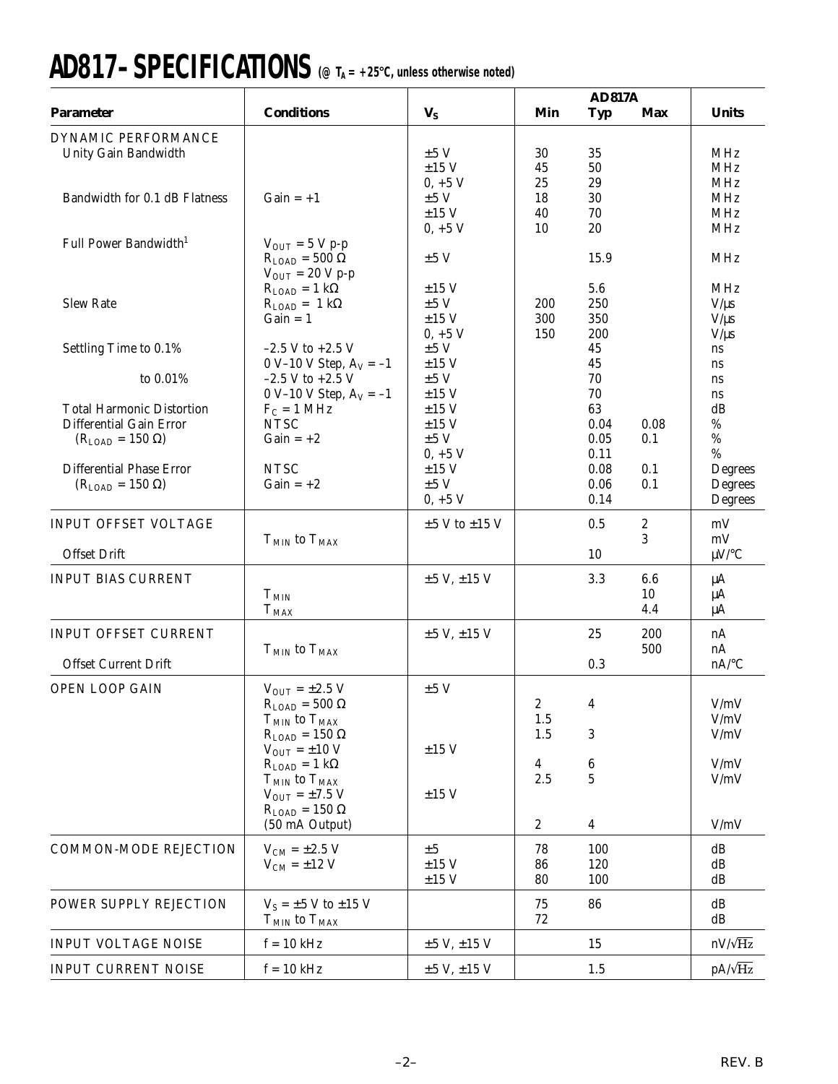# **AD817–SPECIFICATIONS (@ TA = +25**8**C, unless otherwise noted)**

|                                                                                                             |                                                                                                                                                                                                                        |                                                             |                                        | <b>AD817A</b>                                |                       |                                                   |
|-------------------------------------------------------------------------------------------------------------|------------------------------------------------------------------------------------------------------------------------------------------------------------------------------------------------------------------------|-------------------------------------------------------------|----------------------------------------|----------------------------------------------|-----------------------|---------------------------------------------------|
| <b>Parameter</b>                                                                                            | <b>Conditions</b>                                                                                                                                                                                                      | $\mathbf{V}_{\mathbf{S}}$                                   | Min                                    | <b>Typ</b>                                   | Max                   | <b>Units</b>                                      |
| DYNAMIC PERFORMANCE<br>Unity Gain Bandwidth                                                                 |                                                                                                                                                                                                                        | ±5V<br>$\pm 15$ V                                           | 30<br>45<br>25                         | 35<br>50<br>29                               |                       | MHz<br><b>MHz</b><br><b>MHz</b>                   |
| Bandwidth for 0.1 dB Flatness                                                                               | $Gain = +1$                                                                                                                                                                                                            | $0, +5$ V<br>±5V<br>$\pm 15$ V<br>$0, +5$ V                 | 18<br>40<br>10                         | 30<br>70<br>20                               |                       | MHz<br><b>MHz</b><br><b>MHz</b>                   |
| Full Power Bandwidth <sup>1</sup>                                                                           | $V_{\text{OUT}} = 5 V p-p$<br>$R_{LOAD} = 500 \Omega$<br>$V_{OUT} = 20 V p-p$                                                                                                                                          | ±5V                                                         |                                        | 15.9                                         |                       | <b>MHz</b>                                        |
| <b>Slew Rate</b>                                                                                            | $R_{\text{LOAD}} = 1 \text{ k}\Omega$<br>$R_{\text{LOAD}} = 1 \text{ k}\Omega$<br>$Gain = 1$                                                                                                                           | $\pm 15$ V<br>$\pm 5~\mathrm{V}$<br>$\pm 15$ V<br>$0, +5$ V | 200<br>300<br>150                      | 5.6<br>250<br>350<br>200                     |                       | <b>MHz</b><br>$V/\mu s$<br>$V/\mu s$<br>$V/\mu s$ |
| Settling Time to 0.1%                                                                                       | $-2.5$ V to $+2.5$ V<br>0 V-10 V Step, $A_V = -1$                                                                                                                                                                      | ±5V<br>$\pm 15$ V                                           |                                        | 45<br>45                                     |                       | ns<br>ns                                          |
| to 0.01%<br><b>Total Harmonic Distortion</b><br><b>Differential Gain Error</b><br>$(R_{LOAD} = 150 \Omega)$ | $-2.5$ V to $+2.5$ V<br>0 V-10 V Step, $A_V = -1$<br>$F_C = 1 \text{ MHz}$<br><b>NTSC</b><br>$Gain = +2$                                                                                                               | ±5V<br>$\pm 15$ V<br>$\pm 15$ V<br>$\pm 15$ V<br>$\pm 5$ V  |                                        | 70<br>70<br>63<br>0.04<br>0.05               | 0.08<br>0.1           | ns<br>ns<br>dB<br>$\%$<br>$\%$                    |
| <b>Differential Phase Error</b><br>$(R_{LOAD} = 150 \Omega)$                                                | <b>NTSC</b><br>$Gain = +2$                                                                                                                                                                                             | $0, +5$ V<br>$\pm 15$ V<br>±5V<br>$0, +5$ V                 |                                        | 0.11<br>0.08<br>0.06<br>0.14                 | 0.1<br>0.1            | $\%$<br>Degrees<br>Degrees<br>Degrees             |
| <b>INPUT OFFSET VOLTAGE</b><br><b>Offset Drift</b>                                                          | $T_{MIN}$ to $T_{MAX}$                                                                                                                                                                                                 | $\pm 5$ V to $\pm 15$ V                                     |                                        | 0.5<br>10                                    | $\boldsymbol{2}$<br>3 | mV<br>mV<br>$\mu$ V/°C                            |
| <b>INPUT BIAS CURRENT</b>                                                                                   | $T_{MIN}$<br>$T_{MAX}$                                                                                                                                                                                                 | ±5 V, ±15 V                                                 |                                        | 3.3                                          | 6.6<br>10<br>4.4      | $\mu A$<br>$\mu A$<br>$\mu A$                     |
| <b>INPUT OFFSET CURRENT</b><br><b>Offset Current Drift</b>                                                  | $T_{MIN}$ to $T_{MAX}$                                                                                                                                                                                                 | ±5 V, ±15 V                                                 |                                        | 25<br>0.3                                    | 200<br>500            | nA<br>nA<br>$nA$ <sup>o</sup> C                   |
| OPEN LOOP GAIN                                                                                              | $V_{\text{OUT}} = \pm 2.5 \text{ V}$<br>$R_{LOAD} = 500 \Omega$<br>$T_{MIN}$ to $T_{MAX}$<br>$R_{\text{LOAD}} = 150 \Omega$<br>$V_{OUT} = \pm 10 V$<br>$R_{\text{LOAD}} = 1 \text{ k}\Omega$<br>$T_{MIN}$ to $T_{MAX}$ | ±5V<br>$\pm 15$ V                                           | $\mathbf{2}$<br>1.5<br>1.5<br>4<br>2.5 | 4<br>3<br>$\boldsymbol{6}$<br>$\overline{5}$ |                       | V/mV<br>V/mV<br>V/mV<br>V/mV<br>V/mV              |
|                                                                                                             | $V_{\text{OUT}} = \pm 7.5$ V<br>$R_{\text{LOAD}} = 150 \Omega$<br>(50 mA Output)                                                                                                                                       | $\pm 15$ V                                                  | $\boldsymbol{2}$                       | $\overline{\mathbf{4}}$                      |                       | V/mV                                              |
| COMMON-MODE REJECTION                                                                                       | $V_{CM} = \pm 2.5 V$<br>$V_{CM} = \pm 12$ V                                                                                                                                                                            | ±5<br>$\pm 15$ V<br>$\pm 15$ V                              | 78<br>86<br>80                         | 100<br>120<br>100                            |                       | dB<br>dB<br>dB                                    |
| POWER SUPPLY REJECTION                                                                                      | $V_S = \pm 5$ V to $\pm 15$ V<br>$T_{MIN}$ to $T_{MAX}$                                                                                                                                                                |                                                             | 75<br>72                               | 86                                           |                       | dB<br>dB                                          |
| <b>INPUT VOLTAGE NOISE</b>                                                                                  | $f = 10$ kHz                                                                                                                                                                                                           | $\pm 5$ V, $\pm 15$ V                                       |                                        | 15                                           |                       | $nV/\sqrt{Hz}$                                    |
| <b>INPUT CURRENT NOISE</b>                                                                                  | $f = 10$ kHz                                                                                                                                                                                                           | ±5 V, ±15 V                                                 |                                        | 1.5                                          |                       | $pA/\sqrt{Hz}$                                    |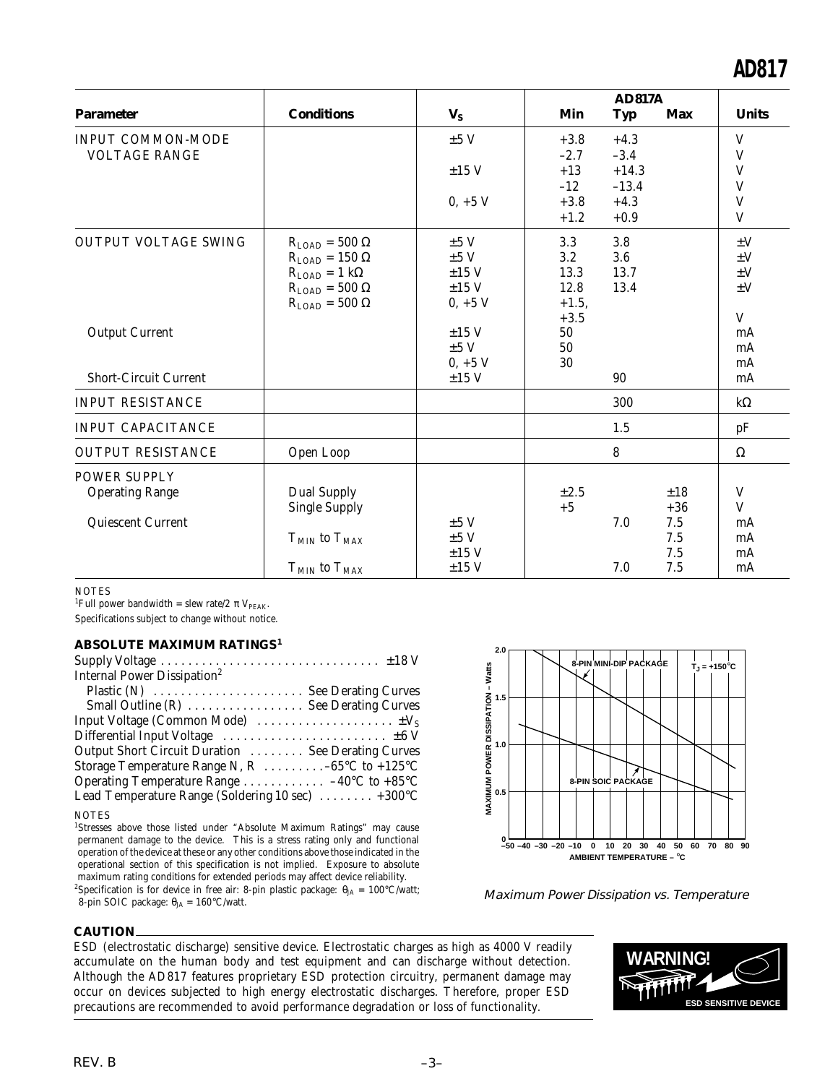|                                                                    |                                                                                                                                                                        |                                                     | <b>AD817A</b>                         |                                |                                          |                                                          |
|--------------------------------------------------------------------|------------------------------------------------------------------------------------------------------------------------------------------------------------------------|-----------------------------------------------------|---------------------------------------|--------------------------------|------------------------------------------|----------------------------------------------------------|
| <b>Parameter</b>                                                   | <b>Conditions</b>                                                                                                                                                      | $V_{S}$                                             | Min                                   | <b>Typ</b>                     | <b>Max</b>                               | <b>Units</b>                                             |
| <b>INPUT COMMON-MODE</b><br><b>VOLTAGE RANGE</b>                   |                                                                                                                                                                        | $\pm 5$ V                                           | $+3.8$<br>$-2.7$                      | $+4.3$<br>$-3.4$               |                                          | $\ensuremath{\mathsf{V}}$<br>$\mathbf V$                 |
|                                                                    |                                                                                                                                                                        | $\pm 15$ V                                          | $+13$<br>$-12$                        | $+14.3$<br>$-13.4$             |                                          | $\ensuremath{\mathsf{V}}$<br>V                           |
|                                                                    |                                                                                                                                                                        | $0, +5$ V                                           | $+3.8$<br>$+1.2$                      | $+4.3$<br>$+0.9$               |                                          | V<br>V                                                   |
| <b>OUTPUT VOLTAGE SWING</b>                                        | $R_{\text{LOAD}} = 500 \Omega$<br>$R_{LOAD} = 150 \Omega$<br>$R_{\text{LOAD}} = 1 \text{ k}\Omega$<br>$R_{\text{LOAD}} = 500 \Omega$<br>$R_{\text{LOAD}} = 500 \Omega$ | ±5V<br>±5V<br>$\pm 15$ V<br>$\pm 15$ V<br>$0, +5$ V | 3.3<br>3.2<br>13.3<br>12.8<br>$+1.5,$ | 3.8<br>$3.6\,$<br>13.7<br>13.4 |                                          | $\pm V$<br>$\pm V$<br>$\pm V$<br>$\pm V$<br>$\mathbf{V}$ |
| <b>Output Current</b><br><b>Short-Circuit Current</b>              |                                                                                                                                                                        | $\pm 15$ V<br>±5V<br>$0, +5$ V<br>$\pm 15$ V        | $+3.5$<br>50<br>50<br>30              | 90                             |                                          | mA<br>mA<br>mA<br>mA                                     |
| <b>INPUT RESISTANCE</b>                                            |                                                                                                                                                                        |                                                     |                                       | 300                            |                                          | $k\Omega$                                                |
| <b>INPUT CAPACITANCE</b>                                           |                                                                                                                                                                        |                                                     |                                       | 1.5                            |                                          | pF                                                       |
| <b>OUTPUT RESISTANCE</b>                                           | Open Loop                                                                                                                                                              |                                                     |                                       | 8                              |                                          | $\Omega$                                                 |
| <b>POWER SUPPLY</b><br><b>Operating Range</b><br>Quiescent Current | <b>Dual Supply</b><br><b>Single Supply</b><br>$T_{MIN}$ to $T_{MAX}$<br>$T_{MIN}$ to $T_{MAX}$                                                                         | ±5V<br>$\pm 5$ V<br>$\pm 15$ V<br>$\pm 15$ V        | $\pm 2.5$<br>$+5$                     | 7.0<br>7.0                     | ±18<br>$+36$<br>7.5<br>7.5<br>7.5<br>7.5 | V<br>V<br>mA<br>mA<br>mA<br>mA                           |

#### **NOTES**

<sup>1</sup>Full power bandwidth = slew rate/2  $\pi$  V<sub>PEAK</sub>.

Specifications subject to change without notice.

#### **ABSOLUTE MAXIMUM RATINGS<sup>1</sup>**

| Internal Power Dissipation <sup>2</sup>                                       |  |
|-------------------------------------------------------------------------------|--|
| Plastic (N)  See Derating Curves                                              |  |
| Small Outline (R)  See Derating Curves                                        |  |
| Input Voltage (Common Mode) $\dots \dots \dots \dots \dots \dots \dots \dots$ |  |
|                                                                               |  |
| Output Short Circuit Duration  See Derating Curves                            |  |
| Storage Temperature Range N, R  -65°C to +125°C                               |  |
| Operating Temperature Range 40 $\rm ^{\circ}C$ to +85 $\rm ^{\circ}C$         |  |
| Lead Temperature Range (Soldering 10 sec)  +300°C                             |  |
|                                                                               |  |

**NOTES** 

<sup>1</sup>Stresses above those listed under "Absolute Maximum Ratings" may cause permanent damage to the device. This is a stress rating only and functional operation of the device at these or any other conditions above those indicated in the operational section of this specification is not implied. Exposure to absolute maximum rating conditions for extended periods may affect device reliability.

<sup>2</sup>Specification is for device in free air: 8-pin plastic package:  $\theta_{JA} = 100^{\circ}C/watt;$ 8-pin SOIC package:  $\theta_{JA} = 160^{\circ}$ C/watt.



Maximum Power Dissipation vs. Temperature

#### **CAUTION**

ESD (electrostatic discharge) sensitive device. Electrostatic charges as high as 4000 V readily accumulate on the human body and test equipment and can discharge without detection. Although the AD817 features proprietary ESD protection circuitry, permanent damage may occur on devices subjected to high energy electrostatic discharges. Therefore, proper ESD precautions are recommended to avoid performance degradation or loss of functionality.

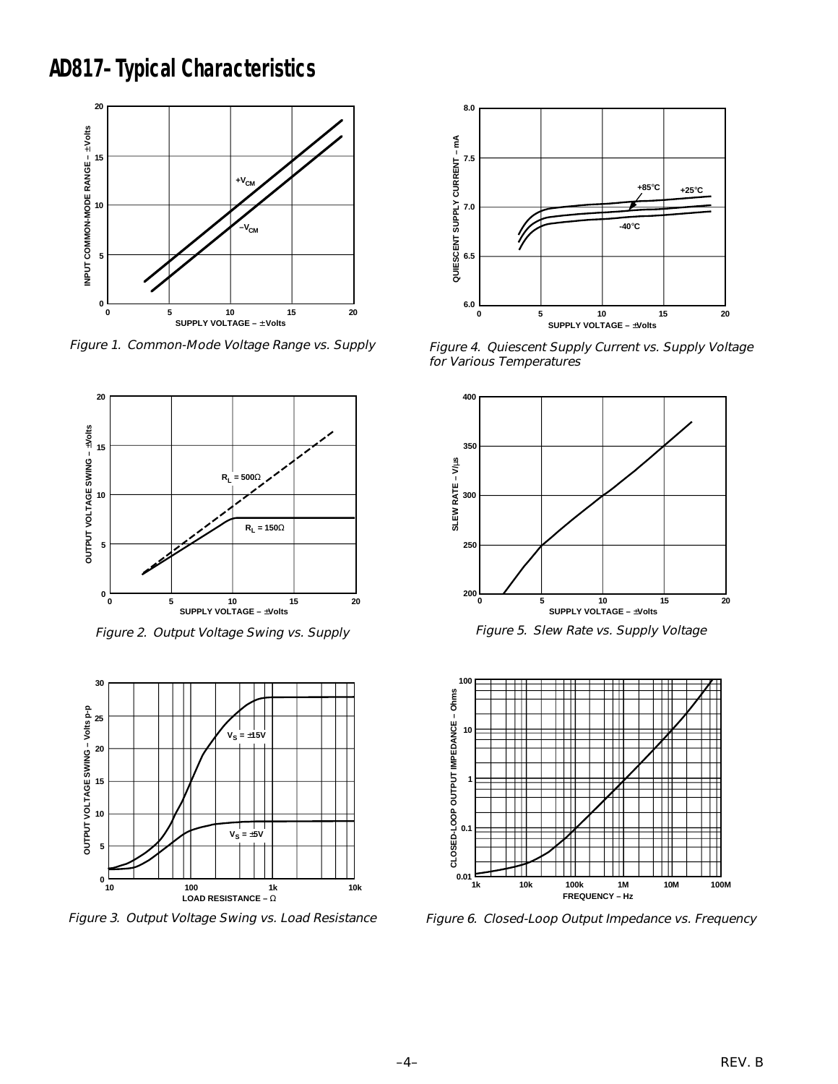# **AD817–Typical Characteristics**



Figure 1. Common-Mode Voltage Range vs. Supply



Figure 2. Output Voltage Swing vs. Supply



Figure 3. Output Voltage Swing vs. Load Resistance



Figure 4. Quiescent Supply Current vs. Supply Voltage for Various Temperatures



Figure 5. Slew Rate vs. Supply Voltage



Figure 6. Closed-Loop Output Impedance vs. Frequency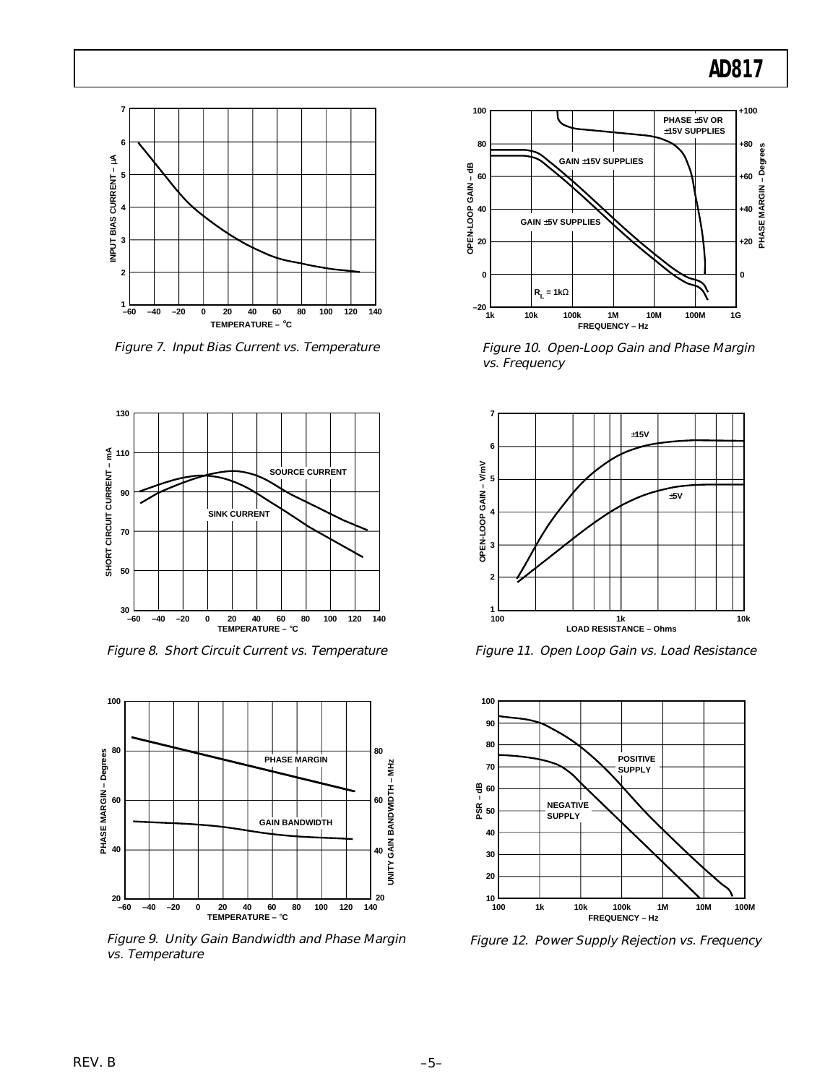

Figure 7. Input Bias Current vs. Temperature



Figure 8. Short Circuit Current vs. Temperature



Figure 9. Unity Gain Bandwidth and Phase Margin vs. Temperature



Figure 10. Open-Loop Gain and Phase Margin vs. Frequency



Figure 11. Open Loop Gain vs. Load Resistance



Figure 12. Power Supply Rejection vs. Frequency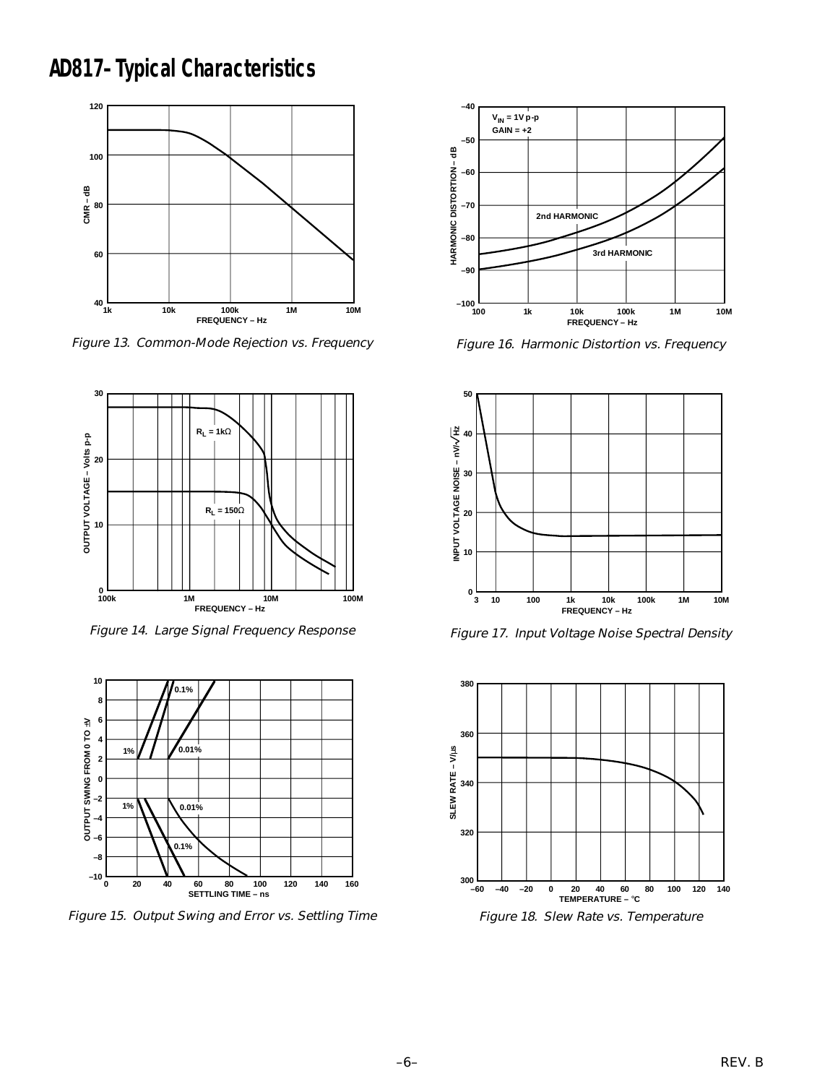**AD817–Typical Characteristics**



Figure 13. Common-Mode Rejection vs. Frequency



Figure 14. Large Signal Frequency Response



Figure 15. Output Swing and Error vs. Settling Time



Figure 16. Harmonic Distortion vs. Frequency



Figure 17. Input Voltage Noise Spectral Density

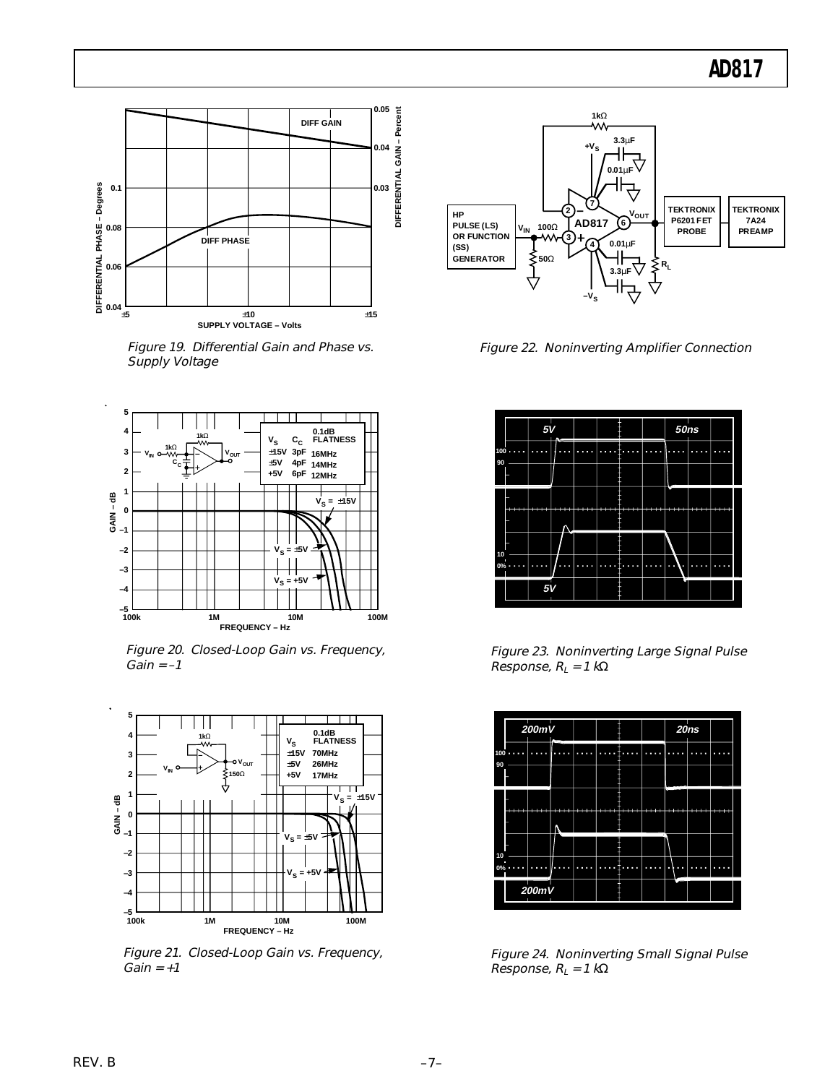

Figure 19. Differential Gain and Phase vs. Supply Voltage



Figure 20. Closed-Loop Gain vs. Frequency,  $Gain = -1$ 



Figure 21. Closed-Loop Gain vs. Frequency,  $Gain = +1$ 



Figure 22. Noninverting Amplifier Connection



Figure 23. Noninverting Large Signal Pulse Response,  $R_L = 1 k\Omega$ 



Figure 24. Noninverting Small Signal Pulse Response,  $R_L = 1 k\Omega$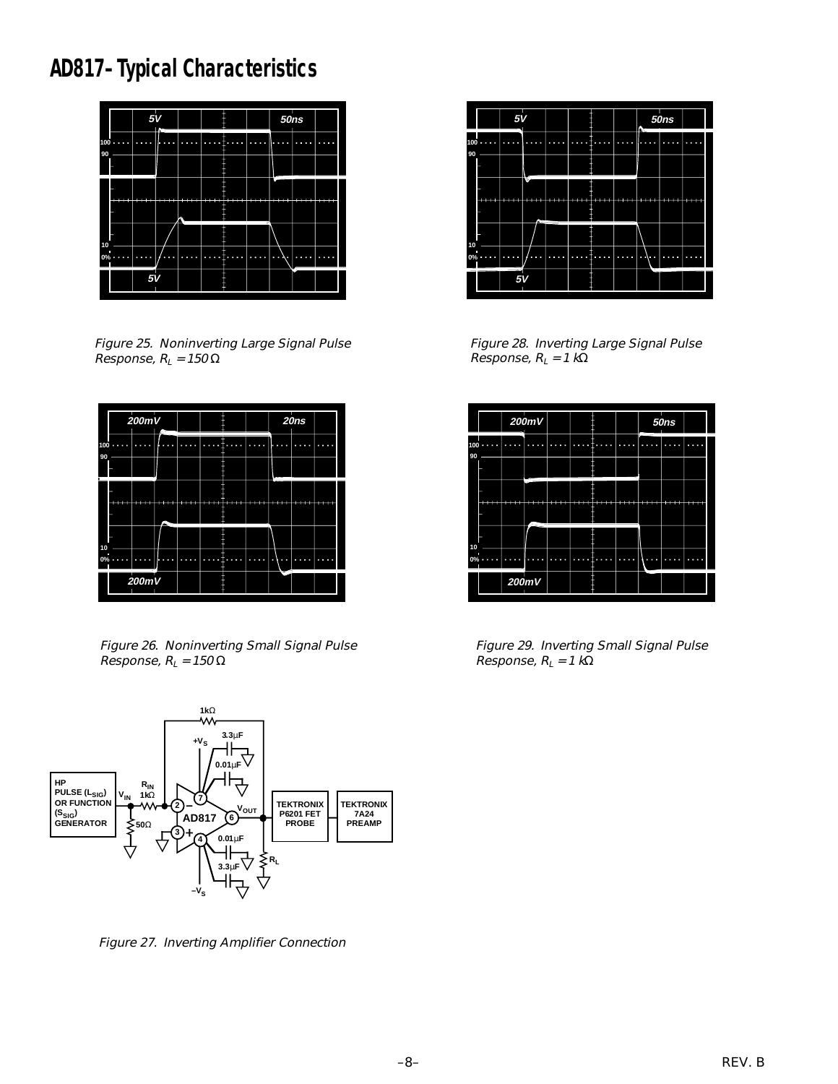# **AD817–Typical Characteristics**



Figure 25. Noninverting Large Signal Pulse Response,  $R_L$  = 150  $\Omega$ 



Figure 26. Noninverting Small Signal Pulse Response,  $R_L$  = 150  $\Omega$ 



Figure 27. Inverting Amplifier Connection



Figure 28. Inverting Large Signal Pulse Response,  $R_L = 1 k\Omega$ 



Figure 29. Inverting Small Signal Pulse Response,  $R_L = 1$  kΩ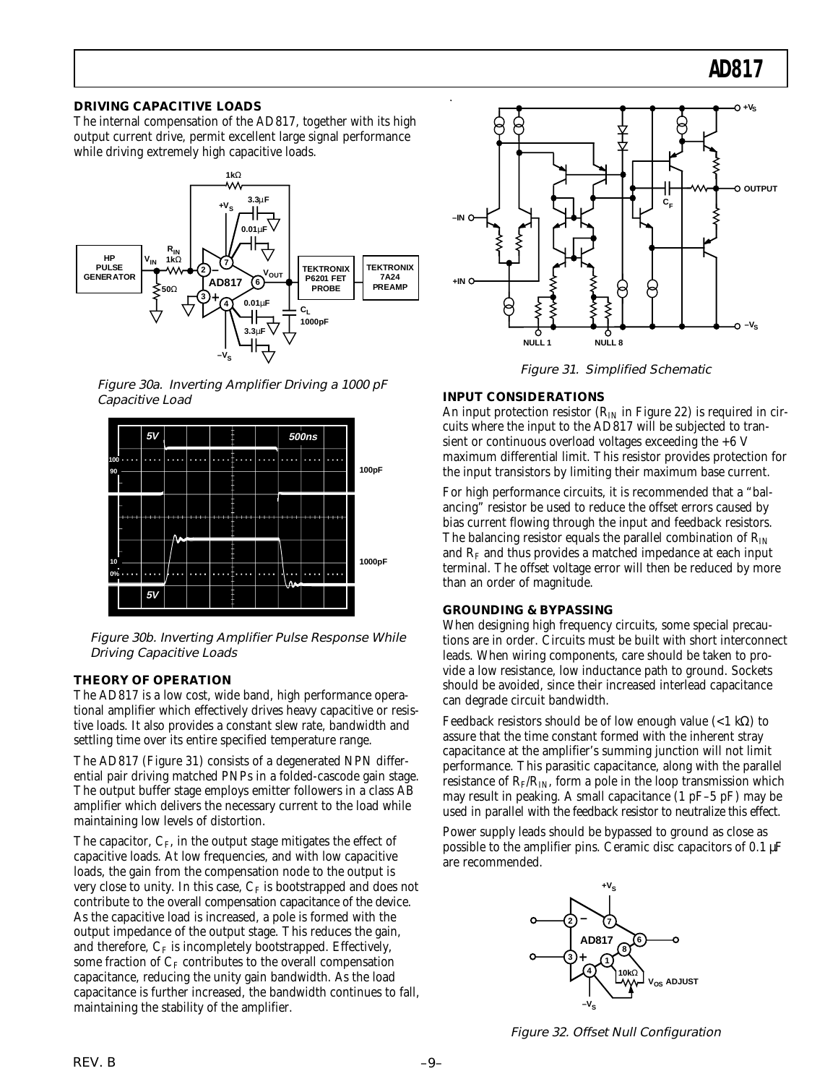#### **DRIVING CAPACITIVE LOADS**

The internal compensation of the AD817, together with its high output current drive, permit excellent large signal performance while driving extremely high capacitive loads.



Figure 30a. Inverting Amplifier Driving a 1000 pF Capacitive Load



Figure 30b. Inverting Amplifier Pulse Response While Driving Capacitive Loads

#### **THEORY OF OPERATION**

The AD817 is a low cost, wide band, high performance operational amplifier which effectively drives heavy capacitive or resistive loads. It also provides a constant slew rate, bandwidth and settling time over its entire specified temperature range.

The AD817 (Figure 31) consists of a degenerated NPN differential pair driving matched PNPs in a folded-cascode gain stage. The output buffer stage employs emitter followers in a class AB amplifier which delivers the necessary current to the load while maintaining low levels of distortion.

The capacitor,  $C_F$ , in the output stage mitigates the effect of capacitive loads. At low frequencies, and with low capacitive loads, the gain from the compensation node to the output is very close to unity. In this case,  $C_F$  is bootstrapped and does not contribute to the overall compensation capacitance of the device. As the capacitive load is increased, a pole is formed with the output impedance of the output stage. This reduces the gain, and therefore,  $C_F$  is incompletely bootstrapped. Effectively, some fraction of  $C_F$  contributes to the overall compensation capacitance, reducing the unity gain bandwidth. As the load capacitance is further increased, the bandwidth continues to fall, maintaining the stability of the amplifier.



Figure 31. Simplified Schematic

#### **INPUT CONSIDERATIONS**

An input protection resistor ( $R_{IN}$  in Figure 22) is required in circuits where the input to the AD817 will be subjected to transient or continuous overload voltages exceeding the +6 V maximum differential limit. This resistor provides protection for the input transistors by limiting their maximum base current.

For high performance circuits, it is recommended that a "balancing" resistor be used to reduce the offset errors caused by bias current flowing through the input and feedback resistors. The balancing resistor equals the parallel combination of  $R_{IN}$ and  $R<sub>F</sub>$  and thus provides a matched impedance at each input terminal. The offset voltage error will then be reduced by more than an order of magnitude.

#### **GROUNDING & BYPASSING**

When designing high frequency circuits, some special precautions are in order. Circuits must be built with short interconnect leads. When wiring components, care should be taken to provide a low resistance, low inductance path to ground. Sockets should be avoided, since their increased interlead capacitance can degrade circuit bandwidth.

Feedback resistors should be of low enough value  $(<1 \text{ k}\Omega)$  to assure that the time constant formed with the inherent stray capacitance at the amplifier's summing junction will not limit performance. This parasitic capacitance, along with the parallel resistance of  $R_F/R_{IN}$ , form a pole in the loop transmission which may result in peaking. A small capacitance (1 pF–5 pF) may be used in parallel with the feedback resistor to neutralize this effect.

Power supply leads should be bypassed to ground as close as possible to the amplifier pins. Ceramic disc capacitors of 0.1 µF are recommended.



Figure 32. Offset Null Configuration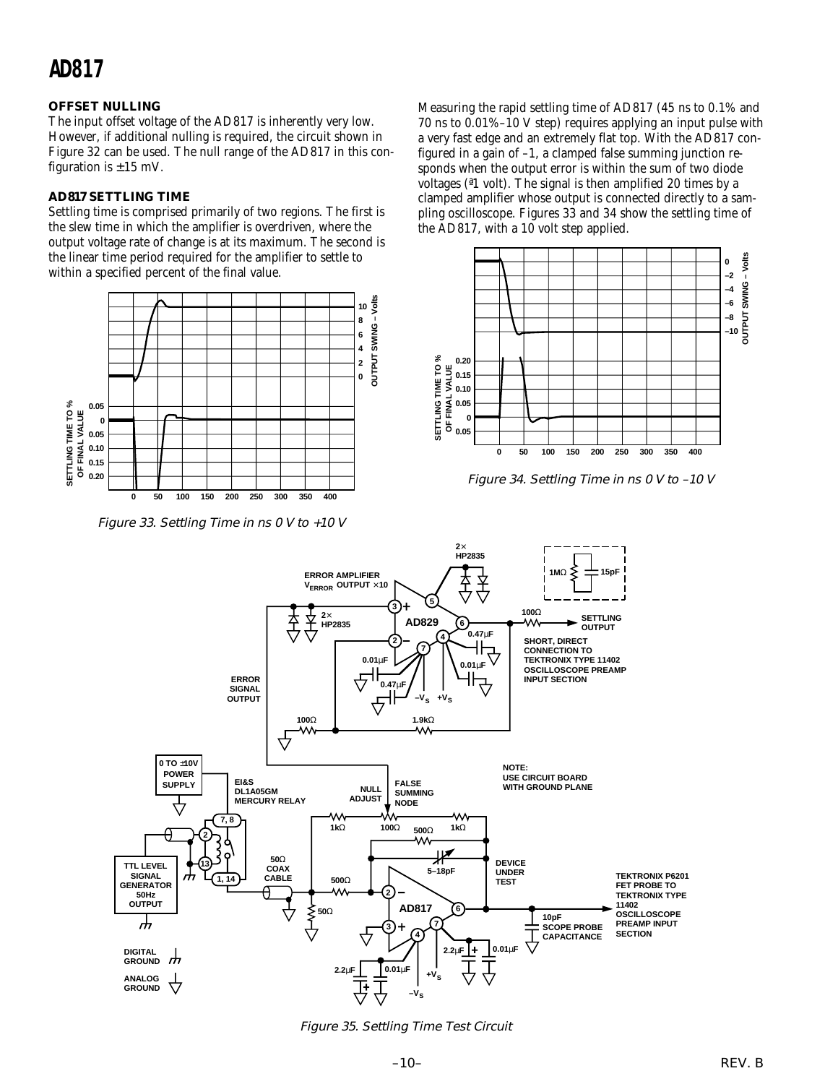#### **OFFSET NULLING**

The input offset voltage of the AD817 is inherently very low. However, if additional nulling is required, the circuit shown in Figure 32 can be used. The null range of the AD817 in this configuration is  $\pm 15$  mV.

#### **AD817 SETTLING TIME**

Settling time is comprised primarily of two regions. The first is the slew time in which the amplifier is overdriven, where the output voltage rate of change is at its maximum. The second is the linear time period required for the amplifier to settle to within a specified percent of the final value.



Figure 33. Settling Time in ns 0 V to +10 V

Measuring the rapid settling time of AD817 (45 ns to 0.1% and 70 ns to 0.01%–10 V step) requires applying an input pulse with a very fast edge and an extremely flat top. With the AD817 configured in a gain of –1, a clamped false summing junction responds when the output error is within the sum of two diode voltages (ª1 volt). The signal is then amplified 20 times by a clamped amplifier whose output is connected directly to a sampling oscilloscope. Figures 33 and 34 show the settling time of the AD817, with a 10 volt step applied.



Figure 34. Settling Time in ns 0 V to –10 V



Figure 35. Settling Time Test Circuit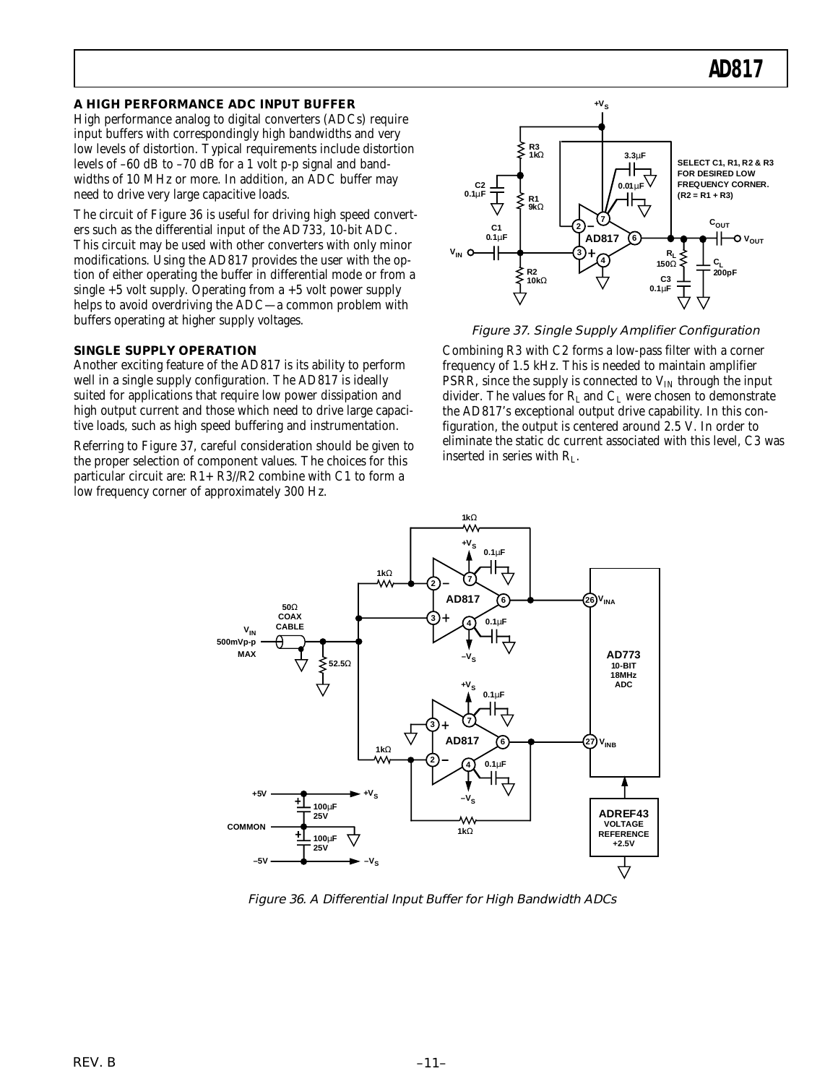#### **A HIGH PERFORMANCE ADC INPUT BUFFER**

High performance analog to digital converters (ADCs) require input buffers with correspondingly high bandwidths and very low levels of distortion. Typical requirements include distortion levels of –60 dB to –70 dB for a 1 volt p-p signal and bandwidths of 10 MHz or more. In addition, an ADC buffer may need to drive very large capacitive loads.

The circuit of Figure 36 is useful for driving high speed converters such as the differential input of the AD733, 10-bit ADC. This circuit may be used with other converters with only minor modifications. Using the AD817 provides the user with the option of either operating the buffer in differential mode or from a single  $+5$  volt supply. Operating from a  $+5$  volt power supply helps to avoid overdriving the ADC—a common problem with buffers operating at higher supply voltages.

#### **SINGLE SUPPLY OPERATION**

Another exciting feature of the AD817 is its ability to perform well in a single supply configuration. The AD817 is ideally suited for applications that require low power dissipation and high output current and those which need to drive large capacitive loads, such as high speed buffering and instrumentation.

Referring to Figure 37, careful consideration should be given to the proper selection of component values. The choices for this particular circuit are: R1+ R3//R2 combine with C1 to form a low frequency corner of approximately 300 Hz.



Figure 37. Single Supply Amplifier Configuration

Combining R3 with C2 forms a low-pass filter with a corner frequency of 1.5 kHz. This is needed to maintain amplifier PSRR, since the supply is connected to  $V_{IN}$  through the input divider. The values for  $R_L$  and  $C_L$  were chosen to demonstrate the AD817's exceptional output drive capability. In this configuration, the output is centered around 2.5 V. In order to eliminate the static dc current associated with this level, C3 was inserted in series with RL.



Figure 36. A Differential Input Buffer for High Bandwidth ADCs